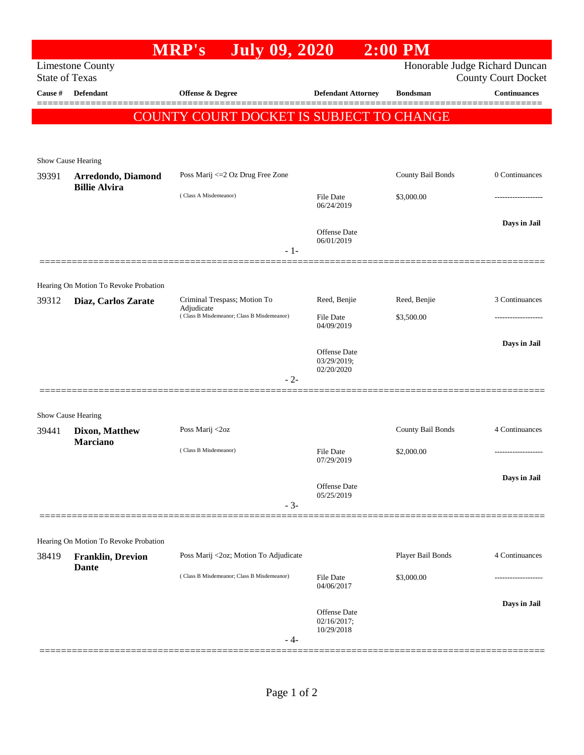|                                                                                                                  |                                                                   | <b>MRP's</b>                                             | <b>July 09, 2020</b>           | $2:00$ PM                          |                   |                     |  |  |
|------------------------------------------------------------------------------------------------------------------|-------------------------------------------------------------------|----------------------------------------------------------|--------------------------------|------------------------------------|-------------------|---------------------|--|--|
| Honorable Judge Richard Duncan<br><b>Limestone County</b><br><b>State of Texas</b><br><b>County Court Docket</b> |                                                                   |                                                          |                                |                                    |                   |                     |  |  |
| Cause #                                                                                                          | <b>Defendant</b>                                                  | <b>Offense &amp; Degree</b>                              |                                | <b>Defendant Attorney</b>          | <b>Bondsman</b>   | <b>Continuances</b> |  |  |
|                                                                                                                  |                                                                   | COUNTY COURT DOCKET IS SUBJECT TO CHANGE                 |                                |                                    |                   |                     |  |  |
|                                                                                                                  |                                                                   |                                                          |                                |                                    |                   |                     |  |  |
|                                                                                                                  |                                                                   |                                                          |                                |                                    |                   |                     |  |  |
| 39391                                                                                                            | Show Cause Hearing<br>Arredondo, Diamond<br><b>Billie Alvira</b>  | Poss Marij <= 2 Oz Drug Free Zone                        |                                |                                    | County Bail Bonds | 0 Continuances      |  |  |
|                                                                                                                  |                                                                   | (Class A Misdemeanor)                                    | <b>File Date</b>               |                                    | \$3,000.00        | -----------------   |  |  |
|                                                                                                                  |                                                                   |                                                          | 06/24/2019                     |                                    |                   |                     |  |  |
|                                                                                                                  |                                                                   |                                                          | 06/01/2019                     | <b>Offense Date</b>                |                   | Days in Jail        |  |  |
|                                                                                                                  |                                                                   |                                                          | $-1-$                          |                                    |                   |                     |  |  |
|                                                                                                                  |                                                                   |                                                          |                                |                                    |                   |                     |  |  |
|                                                                                                                  | Hearing On Motion To Revoke Probation                             | Criminal Trespass; Motion To                             |                                | Reed, Benjie                       | Reed, Benjie      | 3 Continuances      |  |  |
| 39312                                                                                                            | Diaz, Carlos Zarate                                               | Adjudicate<br>(Class B Misdemeanor; Class B Misdemeanor) | <b>File Date</b>               |                                    | \$3,500.00        | -----------------   |  |  |
|                                                                                                                  |                                                                   |                                                          | 04/09/2019                     |                                    |                   |                     |  |  |
|                                                                                                                  |                                                                   |                                                          |                                | <b>Offense Date</b><br>03/29/2019; |                   | Days in Jail        |  |  |
|                                                                                                                  |                                                                   |                                                          | 02/20/2020<br>$-2-$            |                                    |                   |                     |  |  |
|                                                                                                                  |                                                                   |                                                          |                                |                                    |                   |                     |  |  |
|                                                                                                                  | Show Cause Hearing                                                |                                                          |                                |                                    |                   |                     |  |  |
| 39441                                                                                                            | Dixon, Matthew<br><b>Marciano</b>                                 | Poss Marij <2oz                                          |                                |                                    | County Bail Bonds | 4 Continuances      |  |  |
|                                                                                                                  |                                                                   | (Class B Misdemeanor)                                    | <b>File Date</b><br>07/29/2019 |                                    | \$2,000.00        | ------------------- |  |  |
|                                                                                                                  |                                                                   |                                                          |                                |                                    |                   | Days in Jail        |  |  |
|                                                                                                                  |                                                                   |                                                          | 05/25/2019                     | Offense Date                       |                   |                     |  |  |
|                                                                                                                  |                                                                   |                                                          | $-3-$                          |                                    |                   |                     |  |  |
|                                                                                                                  |                                                                   |                                                          |                                |                                    |                   |                     |  |  |
| 38419                                                                                                            | Hearing On Motion To Revoke Probation<br><b>Franklin, Drevion</b> | Poss Marij <2oz; Motion To Adjudicate                    |                                |                                    | Player Bail Bonds | 4 Continuances      |  |  |
|                                                                                                                  | <b>Dante</b>                                                      | (Class B Misdemeanor; Class B Misdemeanor)               | <b>File Date</b>               |                                    | \$3,000.00        |                     |  |  |
|                                                                                                                  |                                                                   |                                                          | 04/06/2017                     |                                    |                   |                     |  |  |
|                                                                                                                  |                                                                   |                                                          |                                | <b>Offense Date</b>                |                   | Days in Jail        |  |  |
|                                                                                                                  |                                                                   |                                                          | 10/29/2018<br>- 4-             | 02/16/2017;                        |                   |                     |  |  |
|                                                                                                                  |                                                                   |                                                          |                                |                                    |                   |                     |  |  |